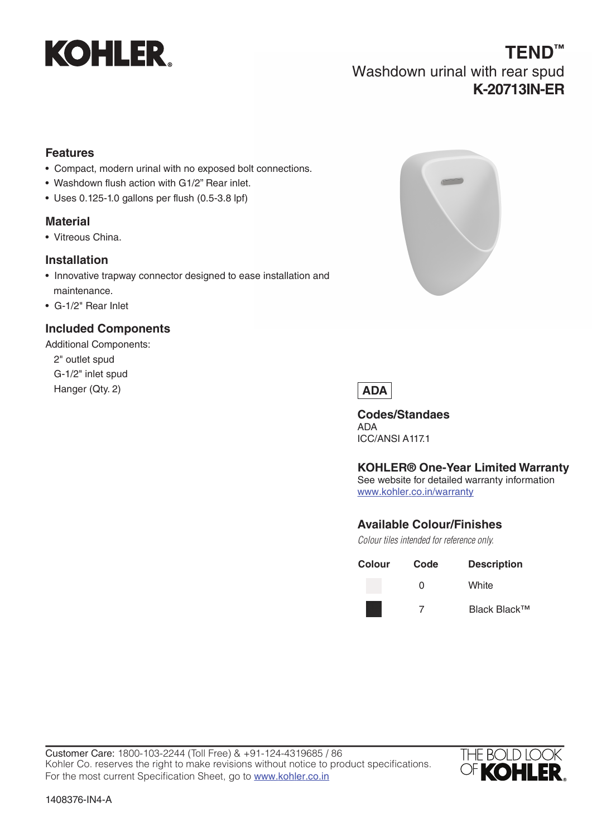

#### **Features**

- Compact, modern urinal with no exposed bolt connections.
- Washdown flush action with G1/2" Rear inlet.
- Uses 0.125-1.0 gallons per flush (0.5-3.8 lpf)

## **Material**

• Vitreous China.

### **Installation**

- Innovative trapway connector designed to ease installation and maintenance.
- G-1/2" Rear Inlet

# **Included Components**

Additional Components: 2" outlet spud G-1/2" inlet spud Hanger (Qty. 2)





**Codes/Standaes** ADA ICC/ANSI A117.1

### **KOHLER® One-Year Limited Warranty**

See website for detailed warranty information www.kohler.co.in/warranty

### **Available Colour/Finishes**

*Colour tiles intended for reference only.*

| Colour | Code | <b>Description</b> |
|--------|------|--------------------|
|        | O    | White              |
|        |      | Black Black™       |